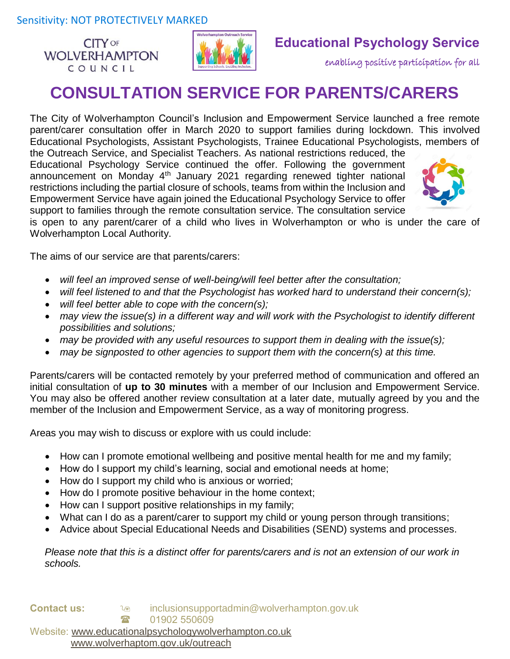**CITY OF WOLVERHAMPTON** COUNCIL



## **Educational Psychology Service**

enabling positive participation for all

# **CONSULTATION SERVICE FOR PARENTS/CARERS**

The City of Wolverhampton Council's Inclusion and Empowerment Service launched a free remote parent/carer consultation offer in March 2020 to support families during lockdown. This involved Educational Psychologists, Assistant Psychologists, Trainee Educational Psychologists, members of

the Outreach Service, and Specialist Teachers. As national restrictions reduced, the Educational Psychology Service continued the offer. Following the government announcement on Monday 4<sup>th</sup> January 2021 regarding renewed tighter national restrictions including the partial closure of schools, teams from within the Inclusion and Empowerment Service have again joined the Educational Psychology Service to offer support to families through the remote consultation service. The consultation service



is open to any parent/carer of a child who lives in Wolverhampton or who is under the care of Wolverhampton Local Authority.

The aims of our service are that parents/carers:

- *will feel an improved sense of well-being/will feel better after the consultation;*
- *will feel listened to and that the Psychologist has worked hard to understand their concern(s);*
- *will feel better able to cope with the concern(s);*
- *may view the issue(s) in a different way and will work with the Psychologist to identify different possibilities and solutions;*
- *may be provided with any useful resources to support them in dealing with the issue(s);*
- *may be signposted to other agencies to support them with the concern(s) at this time.*

Parents/carers will be contacted remotely by your preferred method of communication and offered an initial consultation of **up to 30 minutes** with a member of our Inclusion and Empowerment Service. You may also be offered another review consultation at a later date, mutually agreed by you and the member of the Inclusion and Empowerment Service, as a way of monitoring progress.

Areas you may wish to discuss or explore with us could include:

- How can I promote emotional wellbeing and positive mental health for me and my family;
- How do I support my child's learning, social and emotional needs at home;
- How do I support my child who is anxious or worried;
- How do I promote positive behaviour in the home context;
- How can I support positive relationships in my family;
- What can I do as a parent/carer to support my child or young person through transitions;
- Advice about Special Educational Needs and Disabilities (SEND) systems and processes.

*Please note that this is a distinct offer for parents/carers and is not an extension of our work in schools.* 

**Contact us:**  $\log$  inclusionsupportadmin@wolverhampton.gov.uk 1902 550609 Website: [www.educationalpsychologywolverhampton.co.uk](http://www.educationalpsychologywolverhampton.co.uk/) www.wolverhaptom.gov.uk/outreach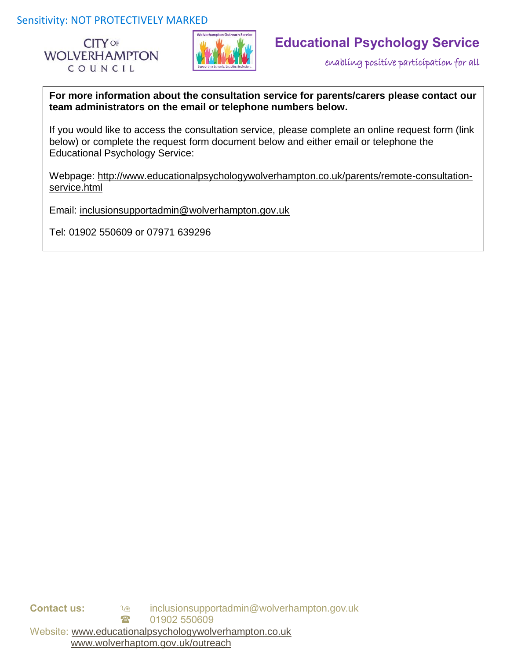Sensitivity: NOT PROTECTIVELY MARKED





## **Educational Psychology Service**

enabling positive participation for all

**For more information about the consultation service for parents/carers please contact our team administrators on the email or telephone numbers below.** 

If you would like to access the consultation service, please complete an online request form (link below) or complete the request form document below and either email or telephone the Educational Psychology Service:

Webpage: http://www.educationalpsychologywolverhampton.co.uk/parents/remote-consultationservice.html

Email: [inclusionsupportadmin@wolverhampton.gov.uk](mailto:inclusionsupportadmin@wolverhampton.gov.uk)

Tel: 01902 550609 or 07971 639296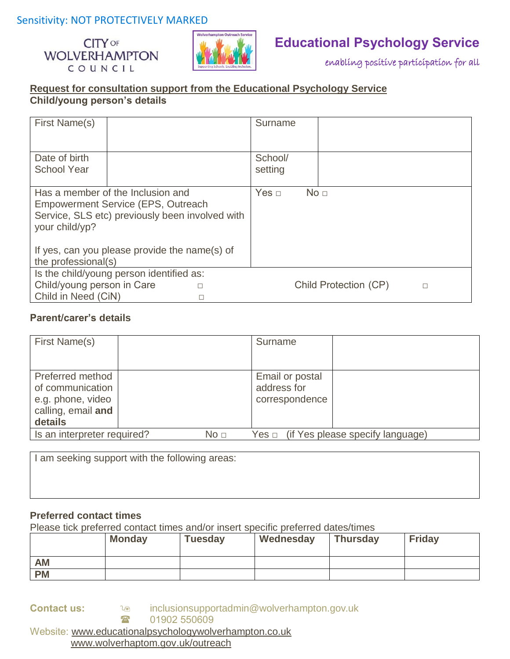### Sensitivity: NOT PROTECTIVELY MARKED





### **Educational Psychology Service**

enabling positive participation for all

### **Request for consultation support from the Educational Psychology Service Child/young person's details**

| First Name(s)                                                                                                                                       |  |            | Surname            |                       |   |
|-----------------------------------------------------------------------------------------------------------------------------------------------------|--|------------|--------------------|-----------------------|---|
| Date of birth<br><b>School Year</b>                                                                                                                 |  |            | School/<br>setting |                       |   |
| Has a member of the Inclusion and<br><b>Empowerment Service (EPS, Outreach</b><br>Service, SLS etc) previously been involved with<br>your child/yp? |  | Yes $\Box$ | No <sub>1</sub>    |                       |   |
| If yes, can you please provide the name(s) of<br>the professional(s)                                                                                |  |            |                    |                       |   |
| Is the child/young person identified as:                                                                                                            |  |            |                    |                       |   |
| Child/young person in Care                                                                                                                          |  |            |                    | Child Protection (CP) | □ |
| Child in Need (CiN)                                                                                                                                 |  |            |                    |                       |   |

#### **Parent/carer's details**

| First Name(s)                                                                                 |  |  | Surname                                          |  |
|-----------------------------------------------------------------------------------------------|--|--|--------------------------------------------------|--|
| Preferred method<br>of communication<br>e.g. phone, video<br>calling, email and<br>details    |  |  | Email or postal<br>address for<br>correspondence |  |
| Is an interpreter required?<br>$Yes \Box$ (if Yes please specify language)<br>No <sub>1</sub> |  |  |                                                  |  |

I am seeking support with the following areas:

### **Preferred contact times**

Please tick preferred contact times and/or insert specific preferred dates/times

|           | <b>Monday</b> | <b>Tuesday</b> | Wednesday | <b>Thursday</b> | <b>Friday</b> |
|-----------|---------------|----------------|-----------|-----------------|---------------|
| <b>AM</b> |               |                |           |                 |               |
| <b>PM</b> |               |                |           |                 |               |

**Contact us: inclusionsupportadmin@wolverhampton.gov.uk 8 01902 550609** Website: [www.educationalpsychologywolverhampton.co.uk](http://www.educationalpsychologywolverhampton.co.uk/) www.wolverhaptom.gov.uk/outreach